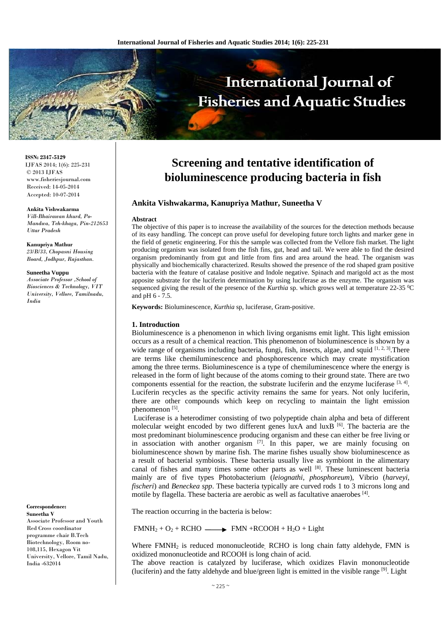

#### **ISSN: 2347-5129** IJFAS 2014; 1(6): 225-231 © 2013 IJFAS www.fisheriesjournal.com Received: 14-05-2014

Accepted: 10-07-2014

**Ankita Vishwakarma**  *Vill-Bhairawan khurd, Po-Mandwa, Teh-khaga, Pin-212653 Uttar Pradesh* 

# **Kanupriya Mathur**

*23/B/33, Chopasni Housing Board, Jodhpur, Rajasthan.* 

### **Suneetha Vuppu**

*Associate Professor ,School of Biosciences & Technology, VIT University, Vellore, Tamilnadu, India* 

**Correspondence: Suneetha V** 

Associate Professor and Youth Red Cross coordinator programme chair B.Tech Biotechnology, Room no-108,115, Hexagon Vit University, Vellore, Tamil Nadu, India -632014

# **Screening and tentative identification of bioluminescence producing bacteria in fish**

#### **Ankita Vishwakarma, Kanupriya Mathur, Suneetha V**

#### **Abstract**

The objective of this paper is to increase the availability of the sources for the detection methods because of its easy handling. The concept can prove useful for developing future torch lights and marker gene in the field of genetic engineering. For this the sample was collected from the Vellore fish market. The light producing organism was isolated from the fish fins, gut, head and tail. We were able to find the desired organism predominantly from gut and little from fins and area around the head. The organism was physically and biochemically characterized. Results showed the presence of the rod shaped gram positive bacteria with the feature of catalase positive and Indole negative. Spinach and marigold act as the most apposite substrate for the luciferin determination by using luciferase as the enzyme. The organism was sequenced giving the result of the presence of the *Kurthia* sp. which grows well at temperature 22-35 <sup>o</sup>C and pH 6 - 7.5.

**Keywords:** Bioluminescence, *Kurthia* sp, luciferase, Gram-positive.

#### **1. Introduction**

Bioluminescence is a phenomenon in which living organisms emit light. This light emission occurs as a result of a chemical reaction. This phenomenon of bioluminescence is shown by a wide range of organisms including bacteria, fungi, fish, insects, algae, and squid [1, 2, 3]. There are terms like chemiluminescence and phosphorescence which may create mystification among the three terms. Bioluminescence is a type of chemiluminescence where the energy is released in the form of light because of the atoms coming to their ground state. There are two components essential for the reaction, the substrate luciferin and the enzyme luciferase [3, 4]. Luciferin recycles as the specific activity remains the same for years. Not only luciferin, there are other compounds which keep on recycling to maintain the light emission phenomenon [5].

 Luciferase is a heterodimer consisting of two polypeptide chain alpha and beta of different molecular weight encoded by two different genes luxA and luxB  $^{[6]}$ . The bacteria are the most predominant bioluminescence producing organism and these can either be free living or in association with another organism [7]. In this paper, we are mainly focusing on bioluminescence shown by marine fish. The marine fishes usually show bioluminescence as a result of bacterial symbiosis. These bacteria usually live as symbiont in the alimentary canal of fishes and many times some other parts as well  $[8]$ . These luminescent bacteria mainly are of five types Photobacterium (*leiognathi, phosphoreum*), Vibrio (*harveyi, fischeri*) and *Beneckea spp*. These bacteria typically are curved rods 1 to 3 microns long and motile by flagella. These bacteria are aerobic as well as facultative anaerobes [4].

The reaction occurring in the bacteria is below:

 $FMMH_2 + O_2 + RCHO \longrightarrow FMN + RCOOH + H_2O + Light$ 

Where FMNH<sub>2</sub> is reduced mononucleotide, RCHO is long chain fatty aldehyde, FMN is oxidized mononucleotide and RCOOH is long chain of acid.

The above reaction is catalyzed by luciferase, which oxidizes Flavin mononucleotide (luciferin) and the fatty aldehyde and blue/green light is emitted in the visible range [9]. Light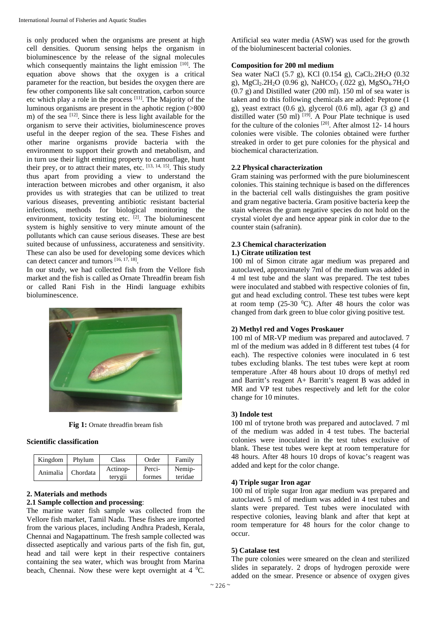is only produced when the organisms are present at high cell densities. Quorum sensing helps the organism in bioluminescence by the release of the signal molecules which consequently maintains the light emission [10]. The equation above shows that the oxygen is a critical parameter for the reaction, but besides the oxygen there are few other components like salt concentration, carbon source etc which play a role in the process [11]. The Majority of the luminous organisms are present in the aphotic region (>800 m) of the sea <sup>[12]</sup>. Since there is less light available for the organism to serve their activities, bioluminescence proves useful in the deeper region of the sea. These Fishes and other marine organisms provide bacteria with the environment to support their growth and metabolism, and in turn use their light emitting property to camouflage, hunt their prey, or to attract their mates, etc.  $^{[13, 14, 15]}$ . This study thus apart from providing a view to understand the interaction between microbes and other organism, it also provides us with strategies that can be utilized to treat various diseases, preventing antibiotic resistant bacterial infections, methods for biological monitoring the environment, toxicity testing etc. [2]. The bioluminescent system is highly sensitive to very minute amount of the pollutants which can cause serious diseases. These are best suited because of unfussiness, accurateness and sensitivity. These can also be used for developing some devices which can detect cancer and tumors [16, 17, 18].

In our study, we had collected fish from the Vellore fish market and the fish is called as Ornate Threadfin bream fish or called Rani Fish in the Hindi language exhibits bioluminescence.



**Fig 1:** Ornate threadfin bream fish

#### **Scientific classification**

| Kingdom  | Phylum   | Class               | Order            | Family            |
|----------|----------|---------------------|------------------|-------------------|
| Animalia | Chordata | Actinop-<br>tervgii | Perci-<br>formes | Nemip-<br>teridae |

#### **2. Materials and methods**

#### **2.1 Sample collection and processing**:

The marine water fish sample was collected from the Vellore fish market, Tamil Nadu. These fishes are imported from the various places, including Andhra Pradesh, Kerala, Chennai and Nagapattinum. The fresh sample collected was dissected aseptically and various parts of the fish fin, gut, head and tail were kept in their respective containers containing the sea water, which was brought from Marina beach, Chennai. Now these were kept overnight at  $4 \degree C$ . Artificial sea water media (ASW) was used for the growth of the bioluminescent bacterial colonies.

#### **Composition for 200 ml medium**

Sea water NaCl (5.7 g), KCl (0.154 g), CaCl<sub>2</sub>.2H<sub>2</sub>O (0.32 g), MgCl<sub>2</sub>.2H<sub>2</sub>O (0.96 g), NaHCO<sub>3</sub> (.022 g), MgSO<sub>4</sub>.7H<sub>2</sub>O  $(0.7 \text{ g})$  and Distilled water  $(200 \text{ ml})$ . 150 ml of sea water is taken and to this following chemicals are added: Peptone (1 g), yeast extract  $(0.6 \text{ g})$ , glycerol  $(0.6 \text{ ml})$ , agar  $(3 \text{ g})$  and distilled water (50 ml)  $^{[19]}$ . A Pour Plate technique is used for the culture of the colonies [20]. After almost 12- 14 hours colonies were visible. The colonies obtained were further streaked in order to get pure colonies for the physical and biochemical characterization.

#### **2.2 Physical characterization**

Gram staining was performed with the pure bioluminescent colonies. This staining technique is based on the differences in the bacterial cell walls distinguishes the gram positive and gram negative bacteria. Gram positive bacteria keep the stain whereas the gram negative species do not hold on the crystal violet dye and hence appear pink in color due to the counter stain (safranin).

# **2.3 Chemical characterization**

# **1.) Citrate utilization test**

100 ml of Simon citrate agar medium was prepared and autoclaved, approximately 7ml of the medium was added in 4 ml test tube and the slant was prepared. The test tubes were inoculated and stabbed with respective colonies of fin, gut and head excluding control. These test tubes were kept at room temp (25-30  $^0$ C). After 48 hours the color was changed from dark green to blue color giving positive test.

#### **2) Methyl red and Voges Proskauer**

100 ml of MR-VP medium was prepared and autoclaved. 7 ml of the medium was added in 8 different test tubes (4 for each). The respective colonies were inoculated in 6 test tubes excluding blanks. The test tubes were kept at room temperature .After 48 hours about 10 drops of methyl red and Barritt's reagent A+ Barritt's reagent B was added in MR and VP test tubes respectively and left for the color change for 10 minutes.

#### **3) Indole test**

100 ml of trytone broth was prepared and autoclaved. 7 ml of the medium was added in 4 test tubes. The bacterial colonies were inoculated in the test tubes exclusive of blank. These test tubes were kept at room temperature for 48 hours. After 48 hours 10 drops of kovac's reagent was added and kept for the color change.

# **4) Triple sugar Iron agar**

100 ml of triple sugar Iron agar medium was prepared and autoclaved. 5 ml of medium was added in 4 test tubes and slants were prepared. Test tubes were inoculated with respective colonies, leaving blank and after that kept at room temperature for 48 hours for the color change to occur.

#### **5) Catalase test**

The pure colonies were smeared on the clean and sterilized slides in separately. 2 drops of hydrogen peroxide were added on the smear. Presence or absence of oxygen gives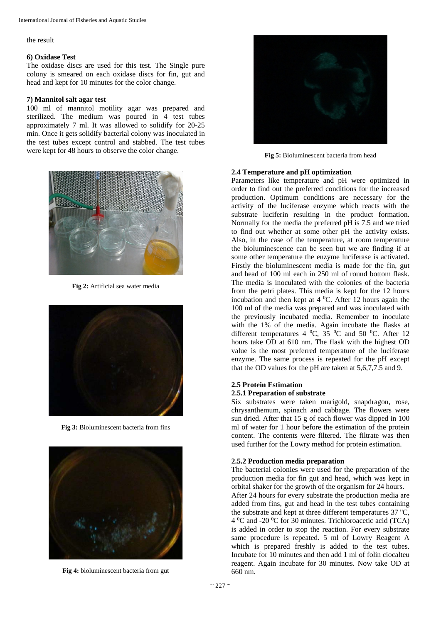the result

#### **6) Oxidase Test**

The oxidase discs are used for this test. The Single pure colony is smeared on each oxidase discs for fin, gut and head and kept for 10 minutes for the color change.

#### **7) Mannitol salt agar test**

100 ml of mannitol motility agar was prepared and sterilized. The medium was poured in 4 test tubes approximately 7 ml. It was allowed to solidify for 20-25 min. Once it gets solidify bacterial colony was inoculated in the test tubes except control and stabbed. The test tubes were kept for 48 hours to observe the color change.



**Fig 2:** Artificial sea water media



**Fig 3:** Bioluminescent bacteria from fins



**Fig 4:** bioluminescent bacteria from gut



**Fig 5:** Bioluminescent bacteria from head

#### **2.4 Temperature and pH optimization**

Parameters like temperature and pH were optimized in order to find out the preferred conditions for the increased production. Optimum conditions are necessary for the activity of the luciferase enzyme which reacts with the substrate luciferin resulting in the product formation. Normally for the media the preferred pH is 7.5 and we tried to find out whether at some other pH the activity exists. Also, in the case of the temperature, at room temperature the bioluminescence can be seen but we are finding if at some other temperature the enzyme luciferase is activated. Firstly the bioluminescent media is made for the fin, gut and head of 100 ml each in 250 ml of round bottom flask. The media is inoculated with the colonies of the bacteria from the petri plates. This media is kept for the 12 hours incubation and then kept at  $4^{\circ}$ C. After 12 hours again the 100 ml of the media was prepared and was inoculated with the previously incubated media. Remember to inoculate with the 1% of the media. Again incubate the flasks at different temperatures  $4 \,^0C$ ,  $35 \,^0C$  and  $50 \,^0C$ . After 12 hours take OD at 610 nm. The flask with the highest OD value is the most preferred temperature of the luciferase enzyme. The same process is repeated for the pH except that the OD values for the pH are taken at 5,6,7,7.5 and 9.

#### **2.5 Protein Estimation 2.5.1 Preparation of substrate**

Six substrates were taken marigold, snapdragon, rose, chrysanthemum, spinach and cabbage. The flowers were sun dried. After that 15 g of each flower was dipped in 100 ml of water for 1 hour before the estimation of the protein content. The contents were filtered. The filtrate was then used further for the Lowry method for protein estimation.

#### **2.5.2 Production media preparation**

The bacterial colonies were used for the preparation of the production media for fin gut and head, which was kept in orbital shaker for the growth of the organism for 24 hours.

After 24 hours for every substrate the production media are added from fins, gut and head in the test tubes containing the substrate and kept at three different temperatures  $37 \text{ °C}$ , 4 <sup>o</sup>C and -20 <sup>o</sup>C for 30 minutes. Trichloroacetic acid (TCA) is added in order to stop the reaction. For every substrate same procedure is repeated. 5 ml of Lowry Reagent A which is prepared freshly is added to the test tubes. Incubate for 10 minutes and then add 1 ml of folin ciocalteu reagent. Again incubate for 30 minutes. Now take OD at 660 nm.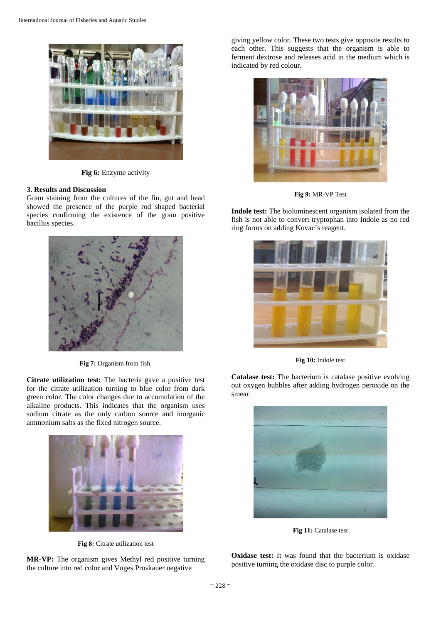

**Fig 6:** Enzyme activity

#### **3. Results and Discussion**

Gram staining from the cultures of the fin, gut and head showed the presence of the purple rod shaped bacterial species confirming the existence of the gram positive bacillus species.



**Fig 7:** Organism from fish.

**Citrate utilization test:** The bacteria gave a positive test for the citrate utilization turning to blue color from dark green color. The color changes due to accumulation of the alkaline products. This indicates that the organism uses sodium citrate as the only carbon source and inorganic ammonium salts as the fixed nitrogen source.



**Fig 8:** Citrate utilization test

**MR-VP:** The organism gives Methyl red positive turning the culture into red color and Voges Proskauer negative

giving yellow color. These two tests give opposite results to each other. This suggests that the organism is able to ferment dextrose and releases acid in the medium which is indicated by red colour.



**Fig 9:** MR-VP Test

**Indole test:** The bioluminescent organism isolated from the fish is not able to convert tryptophan into Indole as no red ring forms on adding Kovac's reagent.



**Fig 10:** Indole test

**Catalase test:** The bacterium is catalase positive evolving out oxygen bubbles after adding hydrogen peroxide on the smear.



Fig 11: Catalase test

**Oxidase test:** It was found that the bacterium is oxidase positive turning the oxidase disc to purple color.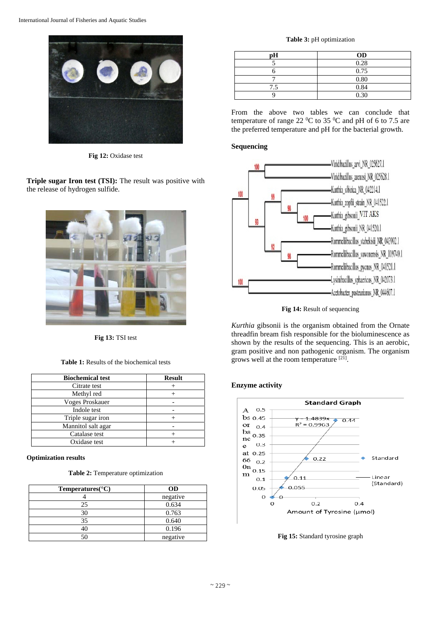

**Fig 12:** Oxidase test

**Triple sugar Iron test (TSI):** The result was positive with the release of hydrogen sulfide.



**Fig 13:** TSI test

**Table 1:** Results of the biochemical tests

| <b>Biochemical test</b> | <b>Result</b> |
|-------------------------|---------------|
| Citrate test            |               |
| Methyl red              |               |
| <b>Voges Proskauer</b>  |               |
| Indole test             |               |
| Triple sugar iron       |               |
| Mannitol salt agar      |               |
| Catalase test           |               |
| Oxidase test            |               |

#### **Optimization results**

**Table 2:** Temperature optimization

| Temperatures( ${}^{\circ}$ C) | <b>OD</b> |
|-------------------------------|-----------|
|                               | negative  |
| 25                            | 0.634     |
| 30                            | 0.763     |
| 35                            | 0.640     |
|                               | 0.196     |
|                               | negative  |

**Table 3:** pH optimization

| рH  | <b>OD</b> |
|-----|-----------|
|     | 0.28      |
|     | 0.75      |
|     | 0.80      |
| 7.5 | 0.84      |
|     | 0.30      |

From the above two tables we can conclude that temperature of range 22  $\rm{^0C}$  to 35  $\rm{^0C}$  and pH of 6 to 7.5 are the preferred temperature and pH for the bacterial growth.

# **Sequencing**



**Fig 14:** Result of sequencing

*Kurthia* gibsonii is the organism obtained from the Ornate threadfin bream fish responsible for the bioluminescence as shown by the results of the sequencing. This is an aerobic, gram positive and non pathogenic organism. The organism grows well at the room temperature [21].

# **Enzyme activity**



**Fig 15:** Standard tyrosine graph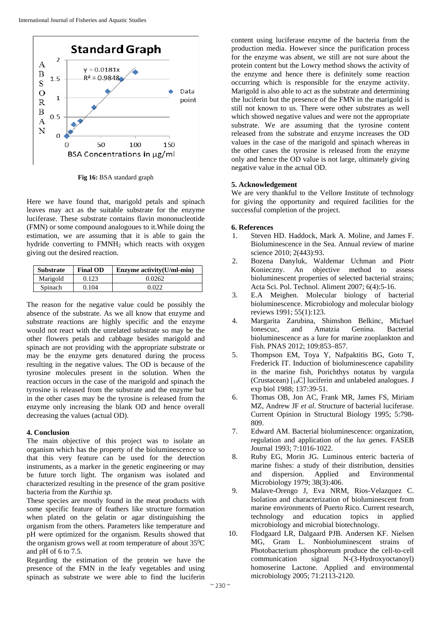

**Fig 16:** BSA standard graph

Here we have found that, marigold petals and spinach leaves may act as the suitable substrate for the enzyme luciferase. These substrate contains flavin mononucleotide (FMN) or some compound analogoues to it.While doing the estimation, we are assuming that it is able to gain the hydride converting to FMNH<sub>2</sub> which reacts with oxygen giving out the desired reaction.

| <b>Substrate</b> | <b>Final OD</b> | Enzyme $\text{activity}(U/ml-min)$ |
|------------------|-----------------|------------------------------------|
| Marigold         | 0.123           | 0.0262                             |
| Spinach          | 0.104           | 0.022                              |

The reason for the negative value could be possibly the absence of the substrate. As we all know that enzyme and substrate reactions are highly specific and the enzyme would not react with the unrelated substrate so may be the other flowers petals and cabbage besides marigold and spinach are not providing with the appropriate substrate or may be the enzyme gets denatured during the process resulting in the negative values. The OD is because of the tyrosine molecules present in the solution. When the reaction occurs in the case of the marigold and spinach the tyrosine is released from the substrate and the enzyme but in the other cases may be the tyrosine is released from the enzyme only increasing the blank OD and hence overall decreasing the values (actual OD).

#### **4. Conclusion**

The main objective of this project was to isolate an organism which has the property of the bioluminescence so that this very feature can be used for the detection instruments, as a marker in the genetic engineering or may be future torch light. The organism was isolated and characterized resulting in the presence of the gram positive bacteria from the *Kurthia sp*.

These species are mostly found in the meat products with some specific feature of feathers like structure formation when plated on the gelatin or agar distinguishing the organism from the others. Parameters like temperature and pH were optimized for the organism. Results showed that the organism grows well at room temperature of about  $35^{\circ}$ C and pH of 6 to 7.5.

Regarding the estimation of the protein we have the presence of the FMN in the leafy vegetables and using spinach as substrate we were able to find the luciferin content using luciferase enzyme of the bacteria from the production media. However since the purification process for the enzyme was absent, we still are not sure about the protein content but the Lowry method shows the activity of the enzyme and hence there is definitely some reaction occurring which is responsible for the enzyme activity. Marigold is also able to act as the substrate and determining the luciferin but the presence of the FMN in the marigold is still not known to us. There were other substrates as well which showed negative values and were not the appropriate substrate. We are assuming that the tyrosine content released from the substrate and enzyme increases the OD values in the case of the marigold and spinach whereas in the other cases the tyrosine is released from the enzyme only and hence the OD value is not large, ultimately giving negative value in the actual OD.

# **5. Acknowledgement**

We are very thankful to the Vellore Institute of technology for giving the opportunity and required facilities for the successful completion of the project.

#### **6. References**

- 1. Steven HD. Haddock, Mark A. Moline, and James F. Bioluminescence in the Sea. Annual review of marine science 2010; 2(443):93.
- 2. Bozena Danyluk, Waldemar Uchman and Piotr Konieczny. An objective method to assess bioluminescent properties of selected bacterial strains; Acta Sci. Pol. Technol. Aliment 2007; 6(4):5-16.
- 3. E.A Meighen. Molecular biology of bacterial bioluminescence. Microbiology and molecular biology reviews 1991; 55(1):123.
- 4. Margarita Zarubina, Shimshon Belkinc, Michael Ionescuc, and Amatzia Genina. Bacterial bioluminescence as a lure for marine zooplankton and Fish. PNAS 2012; 109:853–857.
- 5. Thompson EM, Toya Y, Nafpaktitis BG, Goto T, Frederick IT. Induction of bioluminescence capability in the marine fish, Porichthys notatus by vargula (Crustacean)  $\lceil_{14}$ C] luciferin and unlabeled analogues. J exp biol 1988; 137:39-51.
- 6. Thomas OB, Jon AC, Frank MR, James FS, Miriam MZ, Andrew JF *et al*. Structure of bacterial luciferase. Current Opinion in Structural Biology 1995; 5:798- 809.
- 7. Edward AM. Bacterial bioluminescence: organization, regulation and application of the *lux genes.* FASEB Journal 1993; 7:1016-1022.
- 8. Ruby EG, Morin JG. Luminous enteric bacteria of marine fishes: a study of their distribution, densities and dispersion. Applied and Environmental Microbiology 1979; 38(3):406.
- 9. Malave-Orengo J, Eva NRM, Rios-Velazquez C. Isolation and characterization of bioluminescent from marine environments of Puerto Rico. Current research, technology and education topics in applied microbiology and microbial biotechnology.
- 10. Flodgaard LR, Dalgaard PJB. Andersen KF. Nielsen MG, Gram L. Nonbioluminescent strains of Photobacterium phosphoreum produce the cell-to-cell communication signal N-(3-Hydroxyoctanoyl) homoserine Lactone. Applied and environmental microbiology 2005; 71:2113-2120.